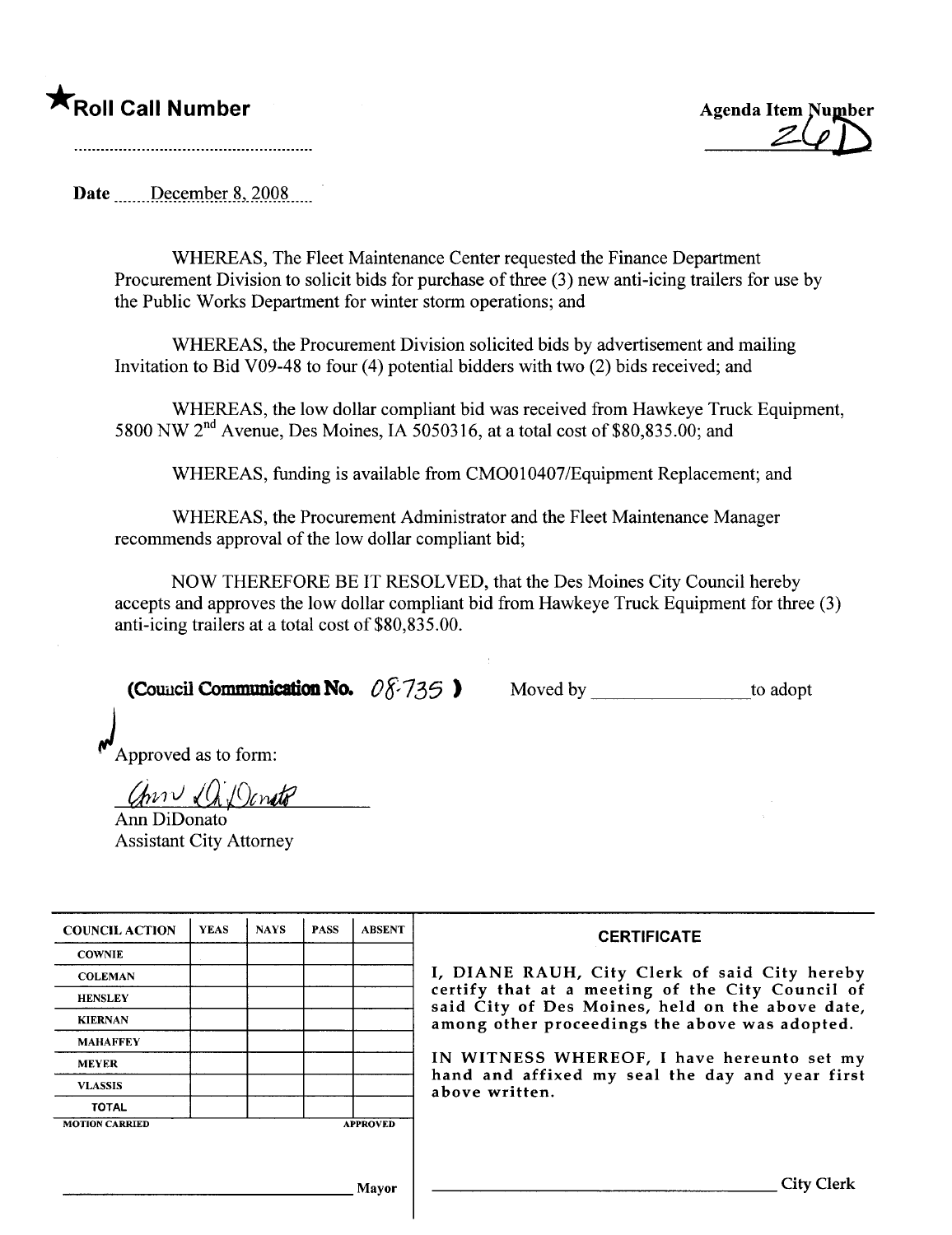## \*Roll Call Number



Date December 8, 2008

WHEREAS, The Fleet Maintenance Center requested the Finance Department Procurement Division to solicit bids for purchase of three (3) new anti-icing trailers for use by the Public Works Department for winter storm operations; and

WHEREAS, the Procurement Division solicited bids by advertisement and mailing Invitation to Bid V09-48 to four (4) potential bidders with two (2) bids received; and

WHEREAS, the low dollar compliant bid was received from Hawkeye Truck Equipment, 5800 NW  $2<sup>nd</sup>$  Avenue, Des Moines, IA 5050316, at a total cost of \$80,835.00; and

WHEREAS, funding is available from CMOOI0407/Equipment Replacement; and

WHEREAS, the Procurement Administrator and the Fleet Maintenance Manager recommends approval of the low dollar compliant bid;

NOW THEREFORE BE IT RESOLVED, that the Des Moines City Council hereby accepts and approves the low dollar compliant bid from Hawkeye Truck Equipment for three (3) anti-icing trailers at a total cost of \$80,835.00.

(Council Communication No.  $0\sqrt[3]{735}$  ) Moved by \_\_\_\_\_\_\_\_\_\_\_\_\_\_\_\_\_\_\_to adopt

Approved as to form:

 $Conv\sqrt{Q}$  Donate

Ann DiDonato Assistant City Attorney

| <b>COUNCIL ACTION</b> | <b>YEAS</b> | <b>NAYS</b> | <b>PASS</b> | <b>ABSENT</b>   | <b>CERTIFICATE</b>                                                                                   |
|-----------------------|-------------|-------------|-------------|-----------------|------------------------------------------------------------------------------------------------------|
| <b>COWNIE</b>         |             |             |             |                 |                                                                                                      |
| <b>COLEMAN</b>        |             |             |             |                 | I, DIANE RAUH, City Clerk of said City hereby                                                        |
| <b>HENSLEY</b>        |             |             |             |                 | certify that at a meeting of the City Council of<br>said City of Des Moines, held on the above date, |
| <b>KIERNAN</b>        |             |             |             |                 | among other proceedings the above was adopted.                                                       |
| <b>MAHAFFEY</b>       |             |             |             |                 |                                                                                                      |
| <b>MEYER</b>          |             |             |             |                 | IN WITNESS WHEREOF, I have hereunto set my                                                           |
| <b>VLASSIS</b>        |             |             |             |                 | hand and affixed my seal the day and year first<br>above written.                                    |
| <b>TOTAL</b>          |             |             |             |                 |                                                                                                      |
| <b>MOTION CARRIED</b> |             |             |             | <b>APPROVED</b> |                                                                                                      |
|                       |             |             |             |                 |                                                                                                      |
|                       |             |             |             |                 |                                                                                                      |
|                       |             |             |             | Mayor           | City:                                                                                                |
|                       |             |             |             |                 |                                                                                                      |